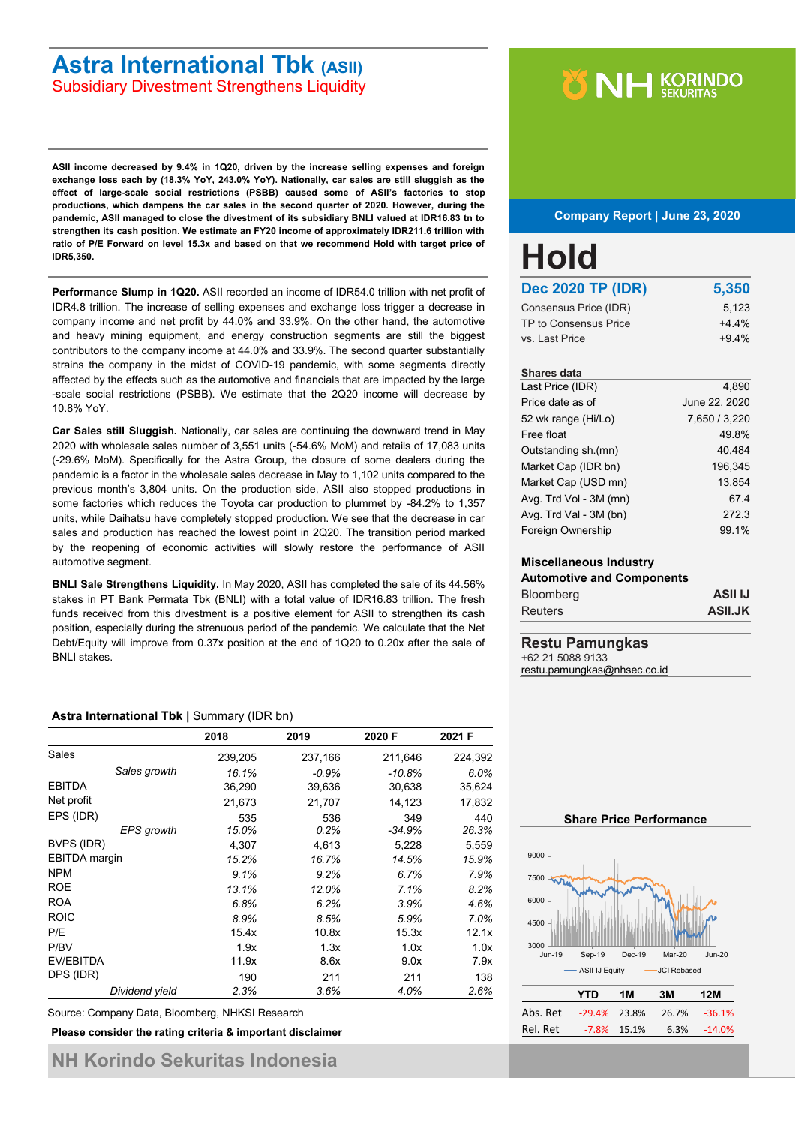### **Astra International Tbk (ASII)** Subsidiary Divestment Strengthens Liquidity

**ASII income decreased by 9.4% in 1Q20, driven by the increase selling expenses and foreign exchange loss each by (18.3% YoY, 243.0% YoY). Nationally, car sales are still sluggish as the effect of large-scale social restrictions (PSBB) caused some of ASII's factories to stop productions, which dampens the car sales in the second quarter of 2020. However, during the pandemic, ASII managed to close the divestment of its subsidiary BNLI valued at IDR16.83 tn to strengthen its cash position. We estimate an FY20 income of approximately IDR211.6 trillion with ratio of P/E Forward on level 15.3x and based on that we recommend Hold with target price of IDR5,350.**

**Performance Slump in 1Q20.** ASII recorded an income of IDR54.0 trillion with net profit of IDR4.8 trillion. The increase of selling expenses and exchange loss trigger a decrease in company income and net profit by 44.0% and 33.9%. On the other hand, the automotive and heavy mining equipment, and energy construction segments are still the biggest contributors to the company income at 44.0% and 33.9%. The second quarter substantially strains the company in the midst of COVID-19 pandemic, with some segments directly affected by the effects such as the automotive and financials that are impacted by the large -scale social restrictions (PSBB). We estimate that the 2Q20 income will decrease by 10.8% YoY.

**Car Sales still Sluggish.** Nationally, car sales are continuing the downward trend in May 2020 with wholesale sales number of 3,551 units (-54.6% MoM) and retails of 17,083 units (-29.6% MoM). Specifically for the Astra Group, the closure of some dealers during the pandemic is a factor in the wholesale sales decrease in May to 1,102 units compared to the previous month's 3,804 units. On the production side, ASII also stopped productions in some factories which reduces the Toyota car production to plummet by -84.2% to 1,357 units, while Daihatsu have completely stopped production. We see that the decrease in car sales and production has reached the lowest point in 2Q20. The transition period marked by the reopening of economic activities will slowly restore the performance of ASII automotive segment.

**BNLI Sale Strengthens Liquidity.** In May 2020, ASII has completed the sale of its 44.56% stakes in PT Bank Permata Tbk (BNLI) with a total value of IDR16.83 trillion. The fresh funds received from this divestment is a positive element for ASII to strengthen its cash position, especially during the strenuous period of the pandemic. We calculate that the Net Debt/Equity will improve from 0.37x position at the end of 1Q20 to 0.20x after the sale of BNLI stakes.

#### **Astra International Tbk |** Summary (IDR bn)

|                                | 2018         | 2019        | 2020 F        | 2021 F       |
|--------------------------------|--------------|-------------|---------------|--------------|
| Sales                          | 239,205      | 237,166     | 211,646       | 224,392      |
| Sales growth                   | 16.1%        | $-0.9%$     | $-10.8%$      | 6.0%         |
| <b>EBITDA</b>                  | 36,290       | 39,636      | 30,638        | 35,624       |
| Net profit                     | 21,673       | 21,707      | 14,123        | 17,832       |
| EPS (IDR)<br><b>EPS</b> growth | 535<br>15.0% | 536<br>0.2% | 349<br>-34.9% | 440<br>26.3% |
| BVPS (IDR)                     | 4,307        | 4,613       | 5,228         | 5,559        |
| <b>EBITDA</b> margin           | 15.2%        | 16.7%       | 14.5%         | 15.9%        |
| <b>NPM</b>                     | 9.1%         | 9.2%        | 6.7%          | 7.9%         |
| <b>ROE</b>                     | 13.1%        | 12.0%       | 7.1%          | 8.2%         |
| <b>ROA</b>                     | 6.8%         | 6.2%        | 3.9%          | 4.6%         |
| <b>ROIC</b>                    | 8.9%         | 8.5%        | 5.9%          | 7.0%         |
| P/E                            | 15.4x        | 10.8x       | 15.3x         | 12.1x        |
| P/BV                           | 1.9x         | 1.3x        | 1.0x          | 1.0x         |
| EV/EBITDA                      | 11.9x        | 8.6x        | 9.0x          | 7.9x         |
| DPS (IDR)                      | 190          | 211         | 211           | 138          |
| Dividend yield                 | 2.3%         | 3.6%        | 4.0%          | 2.6%         |

Source: Company Data, Bloomberg, NHKSI Research

**Please consider the rating criteria & important disclaimer**

## **Y NH KORINDO**

#### **Company Report | June 23, 2020**

| <b>Hold</b>              |         |
|--------------------------|---------|
| <b>Dec 2020 TP (IDR)</b> | 5,350   |
| Consensus Price (IDR)    | 5,123   |
| TP to Consensus Price    | $+4.4%$ |
| vs. Last Price           | $+9.4%$ |

#### **Shares data**

| Last Price (IDR)       | 4.890         |
|------------------------|---------------|
| Price date as of       | June 22, 2020 |
| 52 wk range (Hi/Lo)    | 7,650 / 3,220 |
| Free float             | 49.8%         |
| Outstanding sh.(mn)    | 40.484        |
| Market Cap (IDR bn)    | 196.345       |
| Market Cap (USD mn)    | 13.854        |
| Avg. Trd Vol - 3M (mn) | 67.4          |
| Avg. Trd Val - 3M (bn) | 272.3         |
| Foreign Ownership      | 99.1%         |

#### **Miscellaneous Industry**

| <b>Automotive and Components</b> |                |
|----------------------------------|----------------|
| <b>Bloomberg</b>                 | <b>ASII IJ</b> |
| <b>Reuters</b>                   | <b>ASII.JK</b> |

#### **Restu Pamungkas**

+62 21 5088 9133 [restu.pamungkas@nhsec.co.id](mailto:restu.pamungkas@nhsec.co.id)

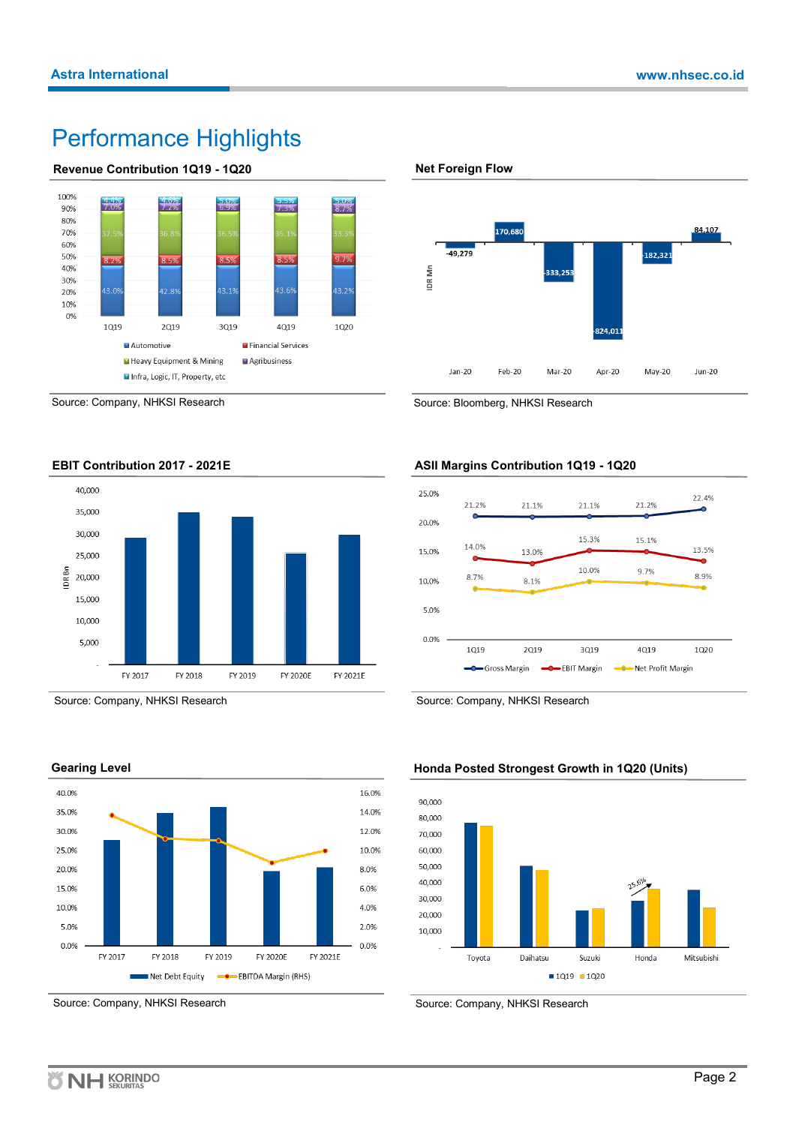## Performance Highlights









Source: Company, NHKSI Research



Source: Company, NHKSI Research



Source: Bloomberg, NHKSI Research

#### **ASII Margins Contribution 1Q19 - 1Q20**

![](_page_1_Figure_13.jpeg)

Source: Company, NHKSI Research

![](_page_1_Figure_15.jpeg)

#### **Honda Posted Strongest Growth in 1Q20 (Units)**

Source: Company, NHKSI Research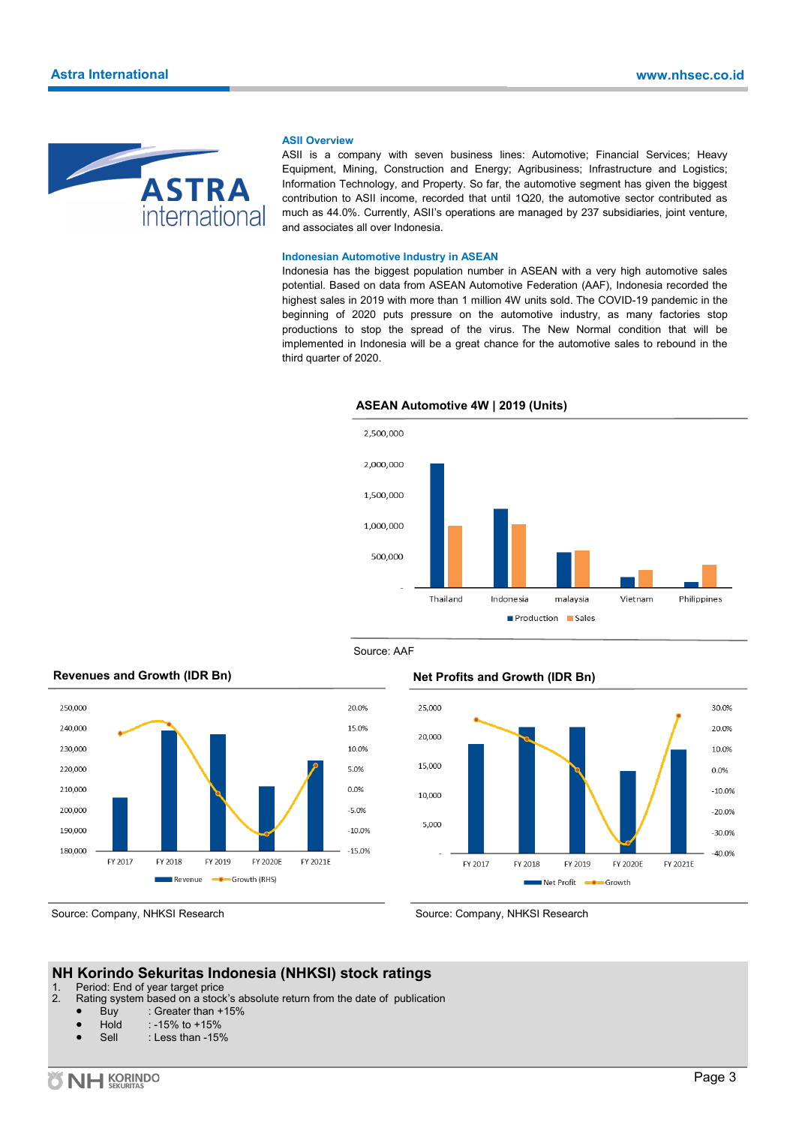![](_page_2_Picture_2.jpeg)

#### **ASII Overview**

ASII is a company with seven business lines: Automotive; Financial Services; Heavy Equipment, Mining, Construction and Energy; Agribusiness; Infrastructure and Logistics; Information Technology, and Property. So far, the automotive segment has given the biggest contribution to ASII income, recorded that until 1Q20, the automotive sector contributed as much as 44.0%. Currently, ASII's operations are managed by 237 subsidiaries, joint venture, and associates all over Indonesia.

#### **Indonesian Automotive Industry in ASEAN**

Indonesia has the biggest population number in ASEAN with a very high automotive sales potential. Based on data from ASEAN Automotive Federation (AAF), Indonesia recorded the highest sales in 2019 with more than 1 million 4W units sold. The COVID-19 pandemic in the beginning of 2020 puts pressure on the automotive industry, as many factories stop productions to stop the spread of the virus. The New Normal condition that will be implemented in Indonesia will be a great chance for the automotive sales to rebound in the third quarter of 2020.

![](_page_2_Figure_7.jpeg)

#### **ASEAN Automotive 4W | 2019 (Units)**

![](_page_2_Figure_9.jpeg)

#### **Revenues and Growth (IDR Bn)**

![](_page_2_Figure_11.jpeg)

#### **Net Profits and Growth (IDR Bn)**

![](_page_2_Figure_13.jpeg)

Source: Company, NHKSI Research

Source: Company, NHKSI Research

#### **NH Korindo Sekuritas Indonesia (NHKSI) stock ratings**

- 1. Period: End of year target price<br>2. Rating system based on a stock
- Rating system based on a stock's absolute return from the date of publication
	- Buy : Greater than +15%
	- Hold : -15% to +15%
	- Sell : Less than -15%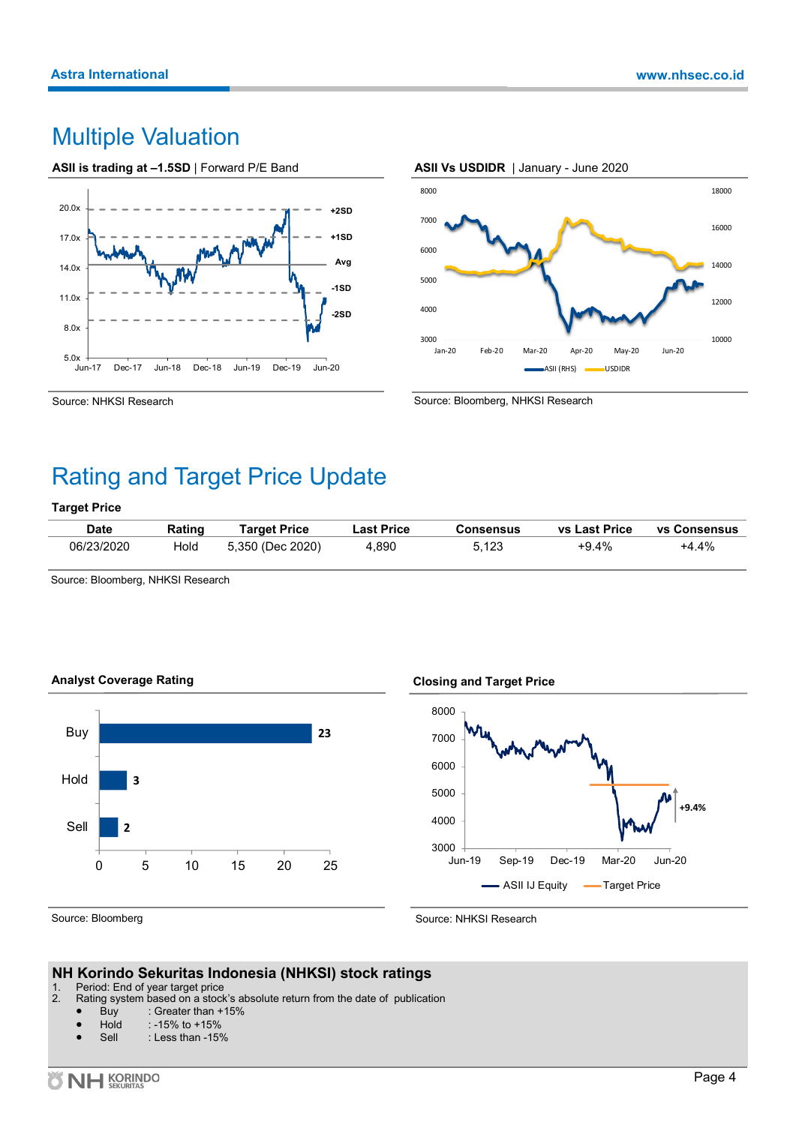## Multiple Valuation

![](_page_3_Figure_3.jpeg)

![](_page_3_Figure_4.jpeg)

Source: NHKSI Research

# Rating and Target Price Update

#### **Target Price**

| <b>Date</b> | Rating | <b>Target Price</b> | Last Price | Consensus | <b>vs Last Price</b> | <b>vs Consensus</b> |
|-------------|--------|---------------------|------------|-----------|----------------------|---------------------|
| 06/23/2020  | Hold   | 5.350 (Dec 2020)    | 4.890      | 5.123     | +9.4%                | +4.4%               |

Source: Bloomberg, NHKSI Research

**Analyst Coverage Rating**

![](_page_3_Figure_10.jpeg)

### **Closing and Target Price**

![](_page_3_Figure_12.jpeg)

Source: Bloomberg

Source: NHKSI Research

### **NH Korindo Sekuritas Indonesia (NHKSI) stock ratings**

1. Period: End of year target price<br>2. Rating system based on a stock

- Rating system based on a stock's absolute return from the date of publication
	- Buy : Greater than  $+15%$ <br>Hold : -15% to  $+15%$
	- $: -15\%$  to  $+15\%$
	- Sell : Less than -15%